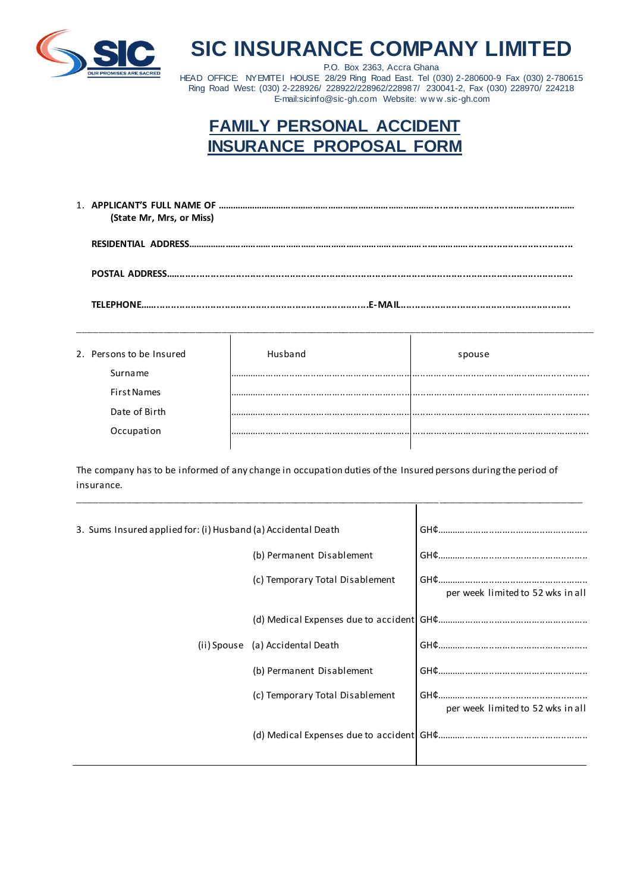

## **SIC INSURANCE COMPANY LIMITED**

P.O. Box 2363, Accra Ghana HEAD OFFICE: NYEMITEI HOUSE 28/29 Ring Road East. Tel (030) 2-280600-9 Fax (030) 2-780615 Ring Road West: (030) 2-228926/ 228922/228962/228987/ 230041-2, Fax (030) 228970/ 224218 E-mail:sicinfo@sic-gh.com Website: w w w .sic-gh.com

## **FAMILY PERSONAL ACCIDENT INSURANCE PROPOSAL FORM**

| (State Mr, Mrs, or Miss)                                                         |  |
|----------------------------------------------------------------------------------|--|
|                                                                                  |  |
|                                                                                  |  |
| TELEPHONE……………………………………………………………………………………………E-MAIL……………………………………………………………………………… |  |

| 2. Persons to be Insured<br>. | . | spouse |  |
|-------------------------------|---|--------|--|

| 2. Persons to be Insured | spouse |
|--------------------------|--------|
| Surname                  |        |
| <b>First Names</b>       |        |
| Date of Birth            | <br>   |
| Occupation               |        |
|                          |        |

The company has to be informed of any change in occupation duties of the Insured persons during the period of insurance.

\_\_\_\_\_\_\_\_\_\_\_\_\_\_\_\_\_\_\_\_\_\_\_\_\_\_\_\_\_\_\_\_\_\_\_\_\_\_\_\_\_\_\_\_\_\_\_\_\_\_\_\_\_\_\_\_\_\_\_\_\_\_\_\_\_\_\_\_\_\_\_\_\_\_\_\_\_\_\_\_\_\_\_\_\_\_\_\_\_\_\_\_\_\_\_

| 3. Sums Insured applied for: (i) Husband (a) Accidental Death |                                 |                                   |
|---------------------------------------------------------------|---------------------------------|-----------------------------------|
|                                                               | (b) Permanent Disablement       |                                   |
|                                                               | (c) Temporary Total Disablement | per week limited to 52 wks in all |
|                                                               |                                 |                                   |
| (ii) Spouse                                                   | (a) Accidental Death            |                                   |
|                                                               | (b) Permanent Disablement       |                                   |
|                                                               | (c) Temporary Total Disablement | per week limited to 52 wks in all |
|                                                               |                                 |                                   |
|                                                               |                                 |                                   |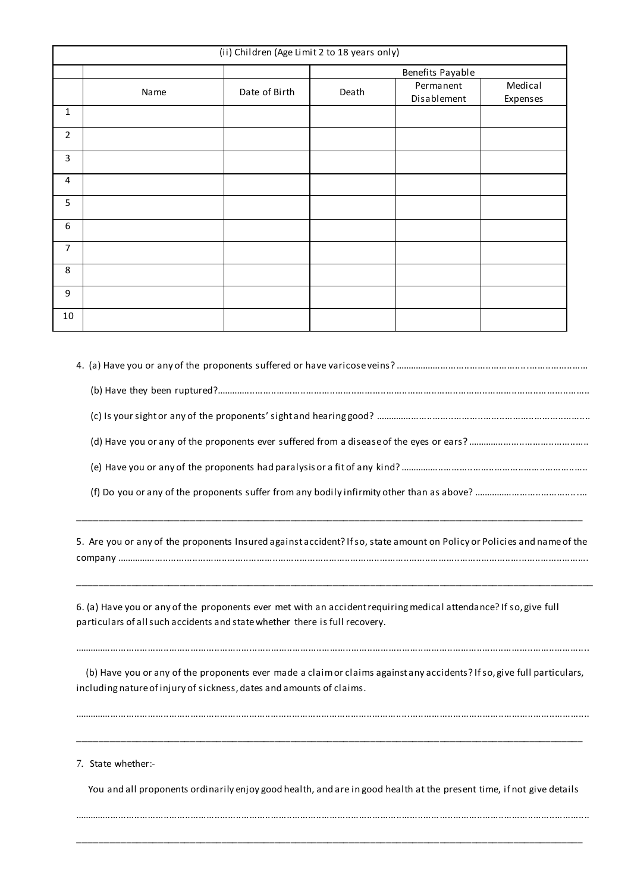| (ii) Children (Age Limit 2 to 18 years only) |      |               |                  |                          |                     |
|----------------------------------------------|------|---------------|------------------|--------------------------|---------------------|
|                                              |      |               | Benefits Payable |                          |                     |
|                                              | Name | Date of Birth | Death            | Permanent<br>Disablement | Medical<br>Expenses |
| $\mathbf{1}$                                 |      |               |                  |                          |                     |
| $\overline{2}$                               |      |               |                  |                          |                     |
| 3                                            |      |               |                  |                          |                     |
| 4                                            |      |               |                  |                          |                     |
| 5                                            |      |               |                  |                          |                     |
| 6                                            |      |               |                  |                          |                     |
| $\overline{7}$                               |      |               |                  |                          |                     |
| 8                                            |      |               |                  |                          |                     |
| 9                                            |      |               |                  |                          |                     |
| 10                                           |      |               |                  |                          |                     |

4. (a) Have you or any of the proponents suffered or have varicose veins? .........................................................................

(b) Have they been ruptured?............................................................................................................................................

(c) Is your sight or any of the proponents' sight and hearing good? .................................................................................

(d) Have you or any of the proponents ever suffered from a disease of the eyes or ears? ..............................................

(e) Have you or any of the proponents had paralysis or a fit of any kind? .......................................................................

(f) Do you or any of the proponents suffer from any bodily infirmity other than as above? ...........................................

5. Are you or any of the proponents Insured against accident? If so, state amount on Policy or Policies and name of the company .................................................................................................................................................................................

\_\_\_\_\_\_\_\_\_\_\_\_\_\_\_\_\_\_\_\_\_\_\_\_\_\_\_\_\_\_\_\_\_\_\_\_\_\_\_\_\_\_\_\_\_\_\_\_\_\_\_\_\_\_\_\_\_\_\_\_\_\_\_\_\_\_\_\_\_\_\_\_\_\_\_\_\_\_\_\_\_\_\_\_\_\_\_\_\_\_\_\_\_\_\_\_\_

\_\_\_\_\_\_\_\_\_\_\_\_\_\_\_\_\_\_\_\_\_\_\_\_\_\_\_\_\_\_\_\_\_\_\_\_\_\_\_\_\_\_\_\_\_\_\_\_\_\_\_\_\_\_\_\_\_\_\_\_\_\_\_\_\_\_\_\_\_\_\_\_\_\_\_\_\_\_\_\_\_\_\_\_\_\_\_\_\_\_\_\_\_\_\_

6. (a) Have you or any of the proponents ever met with an accident requiring medical attendance? If so, give full particulars of all such accidents and state whether there is full recovery.

 (b) Have you or any of the proponents ever made a claim or claims against any accidents? If so, give full particulars, including nature of injury of sickness, dates and amounts of claims.

.................................................................................................................................................................................................

\_\_\_\_\_\_\_\_\_\_\_\_\_\_\_\_\_\_\_\_\_\_\_\_\_\_\_\_\_\_\_\_\_\_\_\_\_\_\_\_\_\_\_\_\_\_\_\_\_\_\_\_\_\_\_\_\_\_\_\_\_\_\_\_\_\_\_\_\_\_\_\_\_\_\_\_\_\_\_\_\_\_\_\_\_\_\_\_\_\_\_\_\_\_\_

.................................................................................................................................................................................................

7. State whether:-

You and all proponents ordinarily enjoy good health, and are in good health at the present time, if not give details

.................................................................................................................................................................................................

\_\_\_\_\_\_\_\_\_\_\_\_\_\_\_\_\_\_\_\_\_\_\_\_\_\_\_\_\_\_\_\_\_\_\_\_\_\_\_\_\_\_\_\_\_\_\_\_\_\_\_\_\_\_\_\_\_\_\_\_\_\_\_\_\_\_\_\_\_\_\_\_\_\_\_\_\_\_\_\_\_\_\_\_\_\_\_\_\_\_\_\_\_\_\_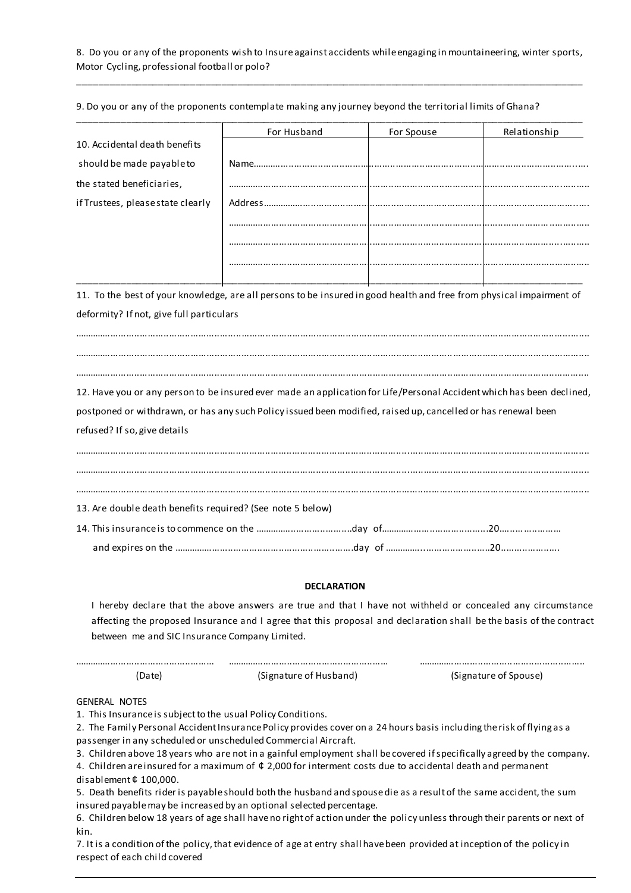## 8. Do you or any of the proponents wish to Insure against accidents while engaging in mountaineering, winter sports, Motor Cycling, professional football or polo?

\_\_\_\_\_\_\_\_\_\_\_\_\_\_\_\_\_\_\_\_\_\_\_\_\_\_\_\_\_\_\_\_\_\_\_\_\_\_\_\_\_\_\_\_\_\_\_\_\_\_\_\_\_\_\_\_\_\_\_\_\_\_\_\_\_\_\_\_\_\_\_\_\_\_\_\_\_\_\_\_\_\_\_\_\_\_\_\_\_\_\_\_\_\_\_

|                                                                                                                                                           | For Husband            | For Spouse | Relationship                                                                                                       |
|-----------------------------------------------------------------------------------------------------------------------------------------------------------|------------------------|------------|--------------------------------------------------------------------------------------------------------------------|
| 10. Accidental death benefits                                                                                                                             |                        |            |                                                                                                                    |
| should be made payable to                                                                                                                                 |                        |            |                                                                                                                    |
| the stated beneficiaries,                                                                                                                                 |                        |            |                                                                                                                    |
| if Trustees, please state clearly                                                                                                                         |                        |            |                                                                                                                    |
|                                                                                                                                                           |                        |            |                                                                                                                    |
|                                                                                                                                                           |                        |            |                                                                                                                    |
|                                                                                                                                                           |                        |            |                                                                                                                    |
|                                                                                                                                                           |                        |            |                                                                                                                    |
| 11. To the best of your knowledge, are all persons to be insured in good health and free from physical impairment of                                      |                        |            |                                                                                                                    |
| deformity? If not, give full particulars                                                                                                                  |                        |            |                                                                                                                    |
|                                                                                                                                                           |                        |            |                                                                                                                    |
|                                                                                                                                                           |                        |            |                                                                                                                    |
|                                                                                                                                                           |                        |            |                                                                                                                    |
| 12. Have you or any person to be insured ever made an application for Life/Personal Accident which has been declined,                                     |                        |            |                                                                                                                    |
| postponed or withdrawn, or has any such Policy issued been modified, raised up, cancelled or has renewal been                                             |                        |            |                                                                                                                    |
| refused? If so, give details                                                                                                                              |                        |            |                                                                                                                    |
|                                                                                                                                                           |                        |            |                                                                                                                    |
|                                                                                                                                                           |                        |            |                                                                                                                    |
| 13. Are double death benefits required? (See note 5 below)                                                                                                |                        |            |                                                                                                                    |
|                                                                                                                                                           |                        |            |                                                                                                                    |
|                                                                                                                                                           |                        |            |                                                                                                                    |
|                                                                                                                                                           | <b>DECLARATION</b>     |            |                                                                                                                    |
|                                                                                                                                                           |                        |            | I hereby declare that the above answers are true and that I have not withheld or concealed any circumstance        |
|                                                                                                                                                           |                        |            | affecting the proposed Insurance and I agree that this proposal and declaration shall be the basis of the contract |
| between me and SIC Insurance Company Limited.                                                                                                             |                        |            |                                                                                                                    |
| (Date)                                                                                                                                                    | (Signature of Husband) |            | (Signature of Spouse)                                                                                              |
|                                                                                                                                                           |                        |            |                                                                                                                    |
| <b>GENERAL NOTES</b><br>1. This Insurance is subject to the usual Policy Conditions.                                                                      |                        |            |                                                                                                                    |
| 2. The Family Personal Accident Insurance Policy provides cover on a 24 hours basis including the risk of flying as a                                     |                        |            |                                                                                                                    |
| passenger in any scheduled or unscheduled Commercial Aircraft.                                                                                            |                        |            |                                                                                                                    |
| 3. Children above 18 years who are not in a gainful employment shall be covered if specifically agreed by the company.                                    |                        |            |                                                                                                                    |
| 4. Children are insured for a maximum of $\phi$ 2,000 for interment costs due to accidental death and permanent<br>disablement $\phi$ 100,000.            |                        |            |                                                                                                                    |
| 5. Death benefits rider is payable should both the husband and spouse die as a result of the same accident, the sum                                       |                        |            |                                                                                                                    |
| insured payable may be increased by an optional selected percentage.                                                                                      |                        |            |                                                                                                                    |
| 6. Children below 18 years of age shall have no right of action under the policy unless through their parents or next of<br>kin.                          |                        |            |                                                                                                                    |
| 7. It is a condition of the policy, that evidence of age at entry shall have been provided at inception of the policy in<br>respect of each child covered |                        |            |                                                                                                                    |

9. Do you or any of the proponents contemplate making any journey beyond the territorial limits of Ghana?